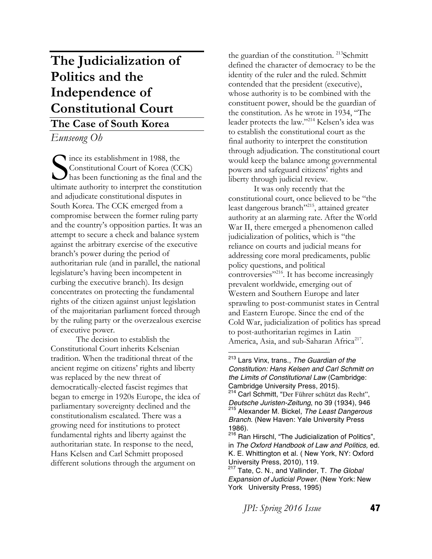# **The Judicialization of Politics and the Independence of Constitutional Court**

# **The Case of South Korea**

*Eunseong Oh*

Since its establishment in 1988, the<br>Constitutional Court of Korea (CC<br>has been functioning as the final as Constitutional Court of Korea (CCK)  $\boldsymbol{J}$  has been functioning as the final and the ultimate authority to interpret the constitution and adjudicate constitutional disputes in South Korea. The CCK emerged from a compromise between the former ruling party and the country's opposition parties. It was an attempt to secure a check and balance system against the arbitrary exercise of the executive branch's power during the period of authoritarian rule (and in parallel, the national legislature's having been incompetent in curbing the executive branch). Its design concentrates on protecting the fundamental rights of the citizen against unjust legislation of the majoritarian parliament forced through by the ruling party or the overzealous exercise of executive power.

The decision to establish the Constitutional Court inherits Kelsenian tradition. When the traditional threat of the ancient regime on citizens' rights and liberty was replaced by the new threat of democratically-elected fascist regimes that began to emerge in 1920s Europe, the idea of parliamentary sovereignty declined and the constitutionalism escalated. There was a growing need for institutions to protect fundamental rights and liberty against the authoritarian state. In response to the need, Hans Kelsen and Carl Schmitt proposed different solutions through the argument on

the guardian of the constitution. <sup>213</sup>Schmitt defined the character of democracy to be the identity of the ruler and the ruled. Schmitt contended that the president (executive), whose authority is to be combined with the constituent power, should be the guardian of the constitution. As he wrote in 1934, "The leader protects the law."214 Kelsen's idea was to establish the constitutional court as the final authority to interpret the constitution through adjudication. The constitutional court would keep the balance among governmental powers and safeguard citizens' rights and liberty through judicial review.

It was only recently that the constitutional court, once believed to be "the least dangerous branch"<sup>215</sup>, attained greater authority at an alarming rate. After the World War II, there emerged a phenomenon called judicialization of politics, which is "the reliance on courts and judicial means for addressing core moral predicaments, public policy questions, and political controversies"<sup>216</sup>. It has become increasingly prevalent worldwide, emerging out of Western and Southern Europe and later sprawling to post-communist states in Central and Eastern Europe. Since the end of the Cold War, judicialization of politics has spread to post-authoritarian regimes in Latin America, Asia, and sub-Saharan Africa<sup>217</sup>. 

<sup>213</sup> Lars Vinx, trans., *The Guardian of the Constitution: Hans Kelsen and Carl Schmitt on the Limits of Constitutional Law* (Cambridge: Cambridge University Press, 2015).

<sup>&</sup>lt;sup>214</sup> Carl Schmitt, "Der Führer schützt das Recht", *Deutsche Juristen-Zeitung*, no 39 (1934), 946 <sup>215</sup> Alexander M. Bickel, *The Least Dangerous Branch*. (New Haven: Yale University Press 1986).

<sup>216</sup> Ran Hirschl, "The Judicialization of Politics", in *The Oxford Handbook of Law and Politics,* ed. K. E. Whittington et al. ( New York, NY: Oxford University Press, 2010), 119.

<sup>217</sup> Tate, C. N., and Vallinder, T. *The Global Expansion of Judicial Power*. (New York: New York University Press, 1995)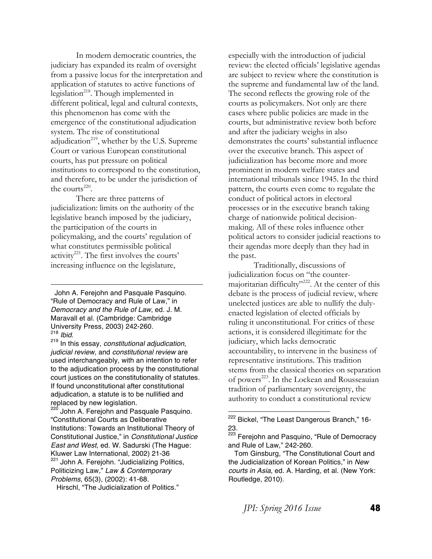In modern democratic countries, the judiciary has expanded its realm of oversight from a passive locus for the interpretation and application of statutes to active functions of legislation<sup>218</sup>. Though implemented in different political, legal and cultural contexts, this phenomenon has come with the emergence of the constitutional adjudication system. The rise of constitutional adjudication<sup>219</sup>, whether by the U.S. Supreme Court or various European constitutional courts, has put pressure on political institutions to correspond to the constitution, and therefore, to be under the jurisdiction of the courts<sup>220</sup>.

There are three patterns of judicialization: limits on the authority of the legislative branch imposed by the judiciary, the participation of the courts in policymaking, and the courts' regulation of what constitutes permissible political activity<sup>221</sup>. The first involves the courts' increasing influence on the legislature,

 John A. Ferejohn and Pasquale Pasquino. "Rule of Democracy and Rule of Law," in *Democracy and the Rule of Law*, ed. J. M. Maravall et al. (Cambridge: Cambridge University Press, 2003) 242-260.<br><sup>218</sup> *Ibid.* 

<u> 1989 - Johann Barn, mars eta bainar eta bainar eta baina eta baina eta baina eta baina eta baina eta baina e</u>

<sup>218</sup> *Ibid*. <sup>219</sup> In this essay, *constitutional adjudication*, *judicial review*, and *constitutional review* are used interchangeably, with an intention to refer to the adjudication process by the constitutional court justices on the constitutionality of statutes. If found unconstitutional after constitutional adjudication, a statute is to be nullified and replaced by new legislation.

John A. Ferejohn and Pasquale Pasquino. "Constitutional Courts as Deliberative Institutions: Towards an Institutional Theory of Constitutional Justice," in *Constitutional Justice East and West*, ed. W. Sadurski (The Hague: Kluwer Law International, 2002) 21-36

<sup>221</sup> John A. Ferejohn. "Judicializing Politics, Politicizing Law," *Law & Contemporary Problems*, 65(3), (2002): 41-68.

Hirschl, "The Judicialization of Politics."

especially with the introduction of judicial review: the elected officials' legislative agendas are subject to review where the constitution is the supreme and fundamental law of the land. The second reflects the growing role of the courts as policymakers. Not only are there cases where public policies are made in the courts, but administrative review both before and after the judiciary weighs in also demonstrates the courts' substantial influence over the executive branch. This aspect of judicialization has become more and more prominent in modern welfare states and international tribunals since 1945. In the third pattern, the courts even come to regulate the conduct of political actors in electoral processes or in the executive branch taking charge of nationwide political decisionmaking. All of these roles influence other political actors to consider judicial reactions to their agendas more deeply than they had in the past.

Traditionally, discussions of judicialization focus on "the countermajoritarian difficulty"<sup>222</sup>. At the center of this debate is the process of judicial review, where unelected justices are able to nullify the dulyenacted legislation of elected officials by ruling it unconstitutional. For critics of these actions, it is considered illegitimate for the judiciary, which lacks democratic accountability, to intervene in the business of representative institutions. This tradition stems from the classical theories on separation of powers<sup>223</sup>. In the Lockean and Rousseauian tradition of parliamentary sovereignty, the authority to conduct a constitutional review

<sup>&</sup>lt;sup>222</sup> Bickel, "The Least Dangerous Branch," 16-23.

<sup>&</sup>lt;sup>223</sup> Ferejohn and Pasquino, "Rule of Democracy and Rule of Law," 242-260.

Tom Ginsburg, "The Constitutional Court and the Judicialization of Korean Politics," in *New courts in Asia*, ed. A. Harding, et al. (New York: Routledge, 2010).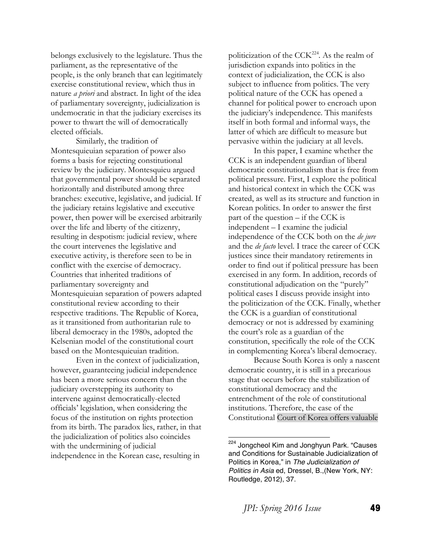belongs exclusively to the legislature. Thus the parliament, as the representative of the people, is the only branch that can legitimately exercise constitutional review, which thus in nature *a priori* and abstract. In light of the idea of parliamentary sovereignty, judicialization is undemocratic in that the judiciary exercises its power to thwart the will of democratically elected officials.

Similarly, the tradition of Montesquieuian separation of power also forms a basis for rejecting constitutional review by the judiciary. Montesquieu argued that governmental power should be separated horizontally and distributed among three branches: executive, legislative, and judicial. If the judiciary retains legislative and executive power, then power will be exercised arbitrarily over the life and liberty of the citizenry, resulting in despotism: judicial review, where the court intervenes the legislative and executive activity, is therefore seen to be in conflict with the exercise of democracy. Countries that inherited traditions of parliamentary sovereignty and Montesquieuian separation of powers adapted constitutional review according to their respective traditions. The Republic of Korea, as it transitioned from authoritarian rule to liberal democracy in the 1980s, adopted the Kelsenian model of the constitutional court based on the Montesquieuian tradition.

Even in the context of judicialization, however, guaranteeing judicial independence has been a more serious concern than the judiciary overstepping its authority to intervene against democratically-elected officials' legislation, when considering the focus of the institution on rights protection from its birth. The paradox lies, rather, in that the judicialization of politics also coincides with the undermining of judicial independence in the Korean case, resulting in

politicization of the  $CCK<sup>224</sup>$ . As the realm of jurisdiction expands into politics in the context of judicialization, the CCK is also subject to influence from politics. The very political nature of the CCK has opened a channel for political power to encroach upon the judiciary's independence. This manifests itself in both formal and informal ways, the latter of which are difficult to measure but pervasive within the judiciary at all levels.

In this paper, I examine whether the CCK is an independent guardian of liberal democratic constitutionalism that is free from political pressure. First, I explore the political and historical context in which the CCK was created, as well as its structure and function in Korean politics. In order to answer the first part of the question – if the CCK is independent – I examine the judicial independence of the CCK both on the *de jure* and the *de facto* level. I trace the career of CCK justices since their mandatory retirements in order to find out if political pressure has been exercised in any form. In addition, records of constitutional adjudication on the "purely" political cases I discuss provide insight into the politicization of the CCK. Finally, whether the CCK is a guardian of constitutional democracy or not is addressed by examining the court's role as a guardian of the constitution, specifically the role of the CCK in complementing Korea's liberal democracy.

 Because South Korea is only a nascent democratic country, it is still in a precarious stage that occurs before the stabilization of constitutional democracy and the entrenchment of the role of constitutional institutions. Therefore, the case of the Constitutional Court of Korea offers valuable

<sup>&</sup>lt;sup>224</sup> Jongcheol Kim and Jonghyun Park. "Causes and Conditions for Sustainable Judicialization of Politics in Korea," in *The Judicialization of Politics in Asia* ed, Dressel, B.,(New York, NY: Routledge, 2012), 37.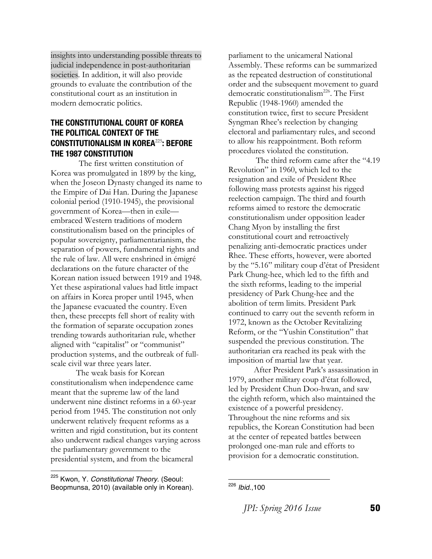insights into understanding possible threats to judicial independence in post-authoritarian societies. In addition, it will also provide grounds to evaluate the contribution of the constitutional court as an institution in modern democratic politics.

#### **THE CONSTITUTIONAL COURT OF KOREA THE POLITICAL CONTEXT OF THE CONSTITUTIONALISM IN KOREA**<sup>225</sup>**: BEFORE THE 1987 CONSTITUTION**

The first written constitution of Korea was promulgated in 1899 by the king, when the Joseon Dynasty changed its name to the Empire of Dai Han. During the Japanese colonial period (1910-1945), the provisional government of Korea—then in exile embraced Western traditions of modern constitutionalism based on the principles of popular sovereignty, parliamentarianism, the separation of powers, fundamental rights and the rule of law. All were enshrined in émigré declarations on the future character of the Korean nation issued between 1919 and 1948. Yet these aspirational values had little impact on affairs in Korea proper until 1945, when the Japanese evacuated the country. Even then, these precepts fell short of reality with the formation of separate occupation zones trending towards authoritarian rule, whether aligned with "capitalist" or "communist" production systems, and the outbreak of fullscale civil war three years later.

 The weak basis for Korean constitutionalism when independence came meant that the supreme law of the land underwent nine distinct reforms in a 60-year period from 1945. The constitution not only underwent relatively frequent reforms as a written and rigid constitution, but its content also underwent radical changes varying across the parliamentary government to the presidential system, and from the bicameral

parliament to the unicameral National Assembly. These reforms can be summarized as the repeated destruction of constitutional order and the subsequent movement to guard democratic constitutionalism<sup>226</sup>. The First Republic (1948-1960) amended the constitution twice, first to secure President Syngman Rhee's reelection by changing electoral and parliamentary rules, and second to allow his reappointment. Both reform procedures violated the constitution.

The third reform came after the "4.19 Revolution" in 1960, which led to the resignation and exile of President Rhee following mass protests against his rigged reelection campaign. The third and fourth reforms aimed to restore the democratic constitutionalism under opposition leader Chang Myon by installing the first constitutional court and retroactively penalizing anti-democratic practices under Rhee. These efforts, however, were aborted by the "5.16" military coup d'état of President Park Chung-hee, which led to the fifth and the sixth reforms, leading to the imperial presidency of Park Chung-hee and the abolition of term limits. President Park continued to carry out the seventh reform in 1972, known as the October Revitalizing Reform, or the "Yushin Constitution" that suspended the previous constitution. The authoritarian era reached its peak with the imposition of martial law that year.

After President Park's assassination in 1979, another military coup d'état followed, led by President Chun Doo-hwan, and saw the eighth reform, which also maintained the existence of a powerful presidency. Throughout the nine reforms and six republics, the Korean Constitution had been at the center of repeated battles between prolonged one-man rule and efforts to provision for a democratic constitution.

*JPI: Spring 2016 Issue* **50** 

 <sup>225</sup> Kwon, Y. *Constitutional Theory*. (Seoul: Beopmunsa, 2010) (available only in Korean).

 <sup>226</sup> *Ibid*.,100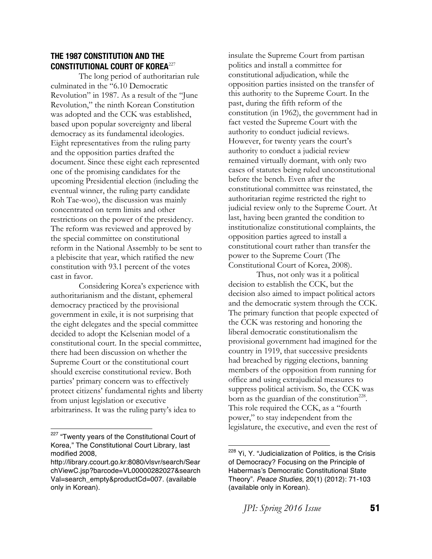## **THE 1987 CONSTITUTION AND THE CONSTITUTIONAL COURT OF KOREA**<sup>227</sup>

The long period of authoritarian rule culminated in the "6.10 Democratic Revolution" in 1987. As a result of the "June Revolution," the ninth Korean Constitution was adopted and the CCK was established, based upon popular sovereignty and liberal democracy as its fundamental ideologies. Eight representatives from the ruling party and the opposition parties drafted the document. Since these eight each represented one of the promising candidates for the upcoming Presidential election (including the eventual winner, the ruling party candidate Roh Tae-woo), the discussion was mainly concentrated on term limits and other restrictions on the power of the presidency. The reform was reviewed and approved by the special committee on constitutional reform in the National Assembly to be sent to a plebiscite that year, which ratified the new constitution with 93.1 percent of the votes cast in favor.

Considering Korea's experience with authoritarianism and the distant, ephemeral democracy practiced by the provisional government in exile, it is not surprising that the eight delegates and the special committee decided to adopt the Kelsenian model of a constitutional court. In the special committee, there had been discussion on whether the Supreme Court or the constitutional court should exercise constitutional review. Both parties' primary concern was to effectively protect citizens' fundamental rights and liberty from unjust legislation or executive arbitrariness. It was the ruling party's idea to

insulate the Supreme Court from partisan politics and install a committee for constitutional adjudication, while the opposition parties insisted on the transfer of this authority to the Supreme Court. In the past, during the fifth reform of the constitution (in 1962), the government had in fact vested the Supreme Court with the authority to conduct judicial reviews. However, for twenty years the court's authority to conduct a judicial review remained virtually dormant, with only two cases of statutes being ruled unconstitutional before the bench. Even after the constitutional committee was reinstated, the authoritarian regime restricted the right to judicial review only to the Supreme Court. At last, having been granted the condition to institutionalize constitutional complaints, the opposition parties agreed to install a constitutional court rather than transfer the power to the Supreme Court (The Constitutional Court of Korea, 2008).

Thus, not only was it a political decision to establish the CCK, but the decision also aimed to impact political actors and the democratic system through the CCK. The primary function that people expected of the CCK was restoring and honoring the liberal democratic constitutionalism the provisional government had imagined for the country in 1919, that successive presidents had breached by rigging elections, banning members of the opposition from running for office and using extrajudicial measures to suppress political activism. So, the CCK was born as the guardian of the constitution<sup>228</sup>. This role required the CCK, as a "fourth power," to stay independent from the legislature, the executive, and even the rest of

<sup>&</sup>lt;sup>227</sup> "Twenty years of the Constitutional Court of Korea," The Constitutional Court Library, last modified 2008,

http://library.ccourt.go.kr:8080/vlsvr/search/Sear chViewC.jsp?barcode=VL00000282027&search Val=search\_empty&productCd=007. (available only in Korean).

<sup>&</sup>lt;sup>228</sup> Yi, Y. "Judicialization of Politics, is the Crisis of Democracy? Focusing on the Principle of Habermas's Democratic Constitutional State Theory". *Peace Studies*, 20(1) (2012): 71-103 (available only in Korean).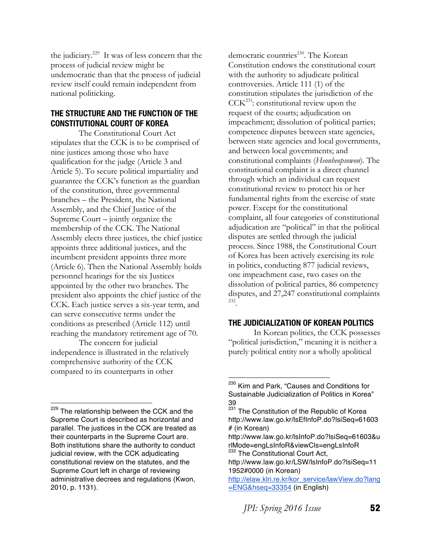the judiciary.229 It was of less concern that the process of judicial review might be undemocratic than that the process of judicial review itself could remain independent from national politicking.

#### **THE STRUCTURE AND THE FUNCTION OF THE CONSTITUTIONAL COURT OF KOREA**

The Constitutional Court Act stipulates that the CCK is to be comprised of nine justices among those who have qualification for the judge (Article 3 and Article 5). To secure political impartiality and guarantee the CCK's function as the guardian of the constitution, three governmental branches – the President, the National Assembly, and the Chief Justice of the Supreme Court – jointly organize the membership of the CCK. The National Assembly elects three justices, the chief justice appoints three additional justices, and the incumbent president appoints three more (Article 6). Then the National Assembly holds personnel hearings for the six Justices appointed by the other two branches. The president also appoints the chief justice of the CCK. Each justice serves a six-year term, and can serve consecutive terms under the conditions as prescribed (Article 112) until reaching the mandatory retirement age of 70.

The concern for judicial independence is illustrated in the relatively comprehensive authority of the CCK compared to its counterparts in other

 

democratic countries<sup>230</sup>. The Korean Constitution endows the constitutional court with the authority to adjudicate political controversies. Article 111 (1) of the constitution stipulates the jurisdiction of the  $CCK<sup>231</sup>$ : constitutional review upon the request of the courts; adjudication on impeachment; dissolution of political parties; competence disputes between state agencies, between state agencies and local governments, and between local governments; and constitutional complaints (*Heonbeopsowon*). The constitutional complaint is a direct channel through which an individual can request constitutional review to protect his or her fundamental rights from the exercise of state power. Except for the constitutional complaint, all four categories of constitutional adjudication are "political" in that the political disputes are settled through the judicial process. Since 1988, the Constitutional Court of Korea has been actively exercising its role in politics, conducting 877 judicial reviews, one impeachment case, two cases on the dissolution of political parties, 86 competency disputes, and 27,247 constitutional complaints 232.

#### **THE JUDICIALIZATION OF KOREAN POLITICS**

 In Korean politics, the CCK possesses "political jurisdiction," meaning it is neither a purely political entity nor a wholly apolitical

<sup>&</sup>lt;sup>229</sup> The relationship between the CCK and the Supreme Court is described as horizontal and parallel. The justices in the CCK are treated as their counterparts in the Supreme Court are. Both institutions share the authority to conduct judicial review, with the CCK adjudicating constitutional review on the statutes, and the Supreme Court left in charge of reviewing administrative decrees and regulations (Kwon, 2010, p. 1131).

<sup>&</sup>lt;sup>230</sup> Kim and Park, "Causes and Conditions for Sustainable Judicialization of Politics in Korea" 39

 $\frac{231}{231}$  The Constitution of the Republic of Korea http://www.law.go.kr/lsEfInfoP.do?lsiSeq=61603 # (in Korean)

http://www.law.go.kr/lsInfoP.do?lsiSeq=61603&u rlMode=engLsInfoR&viewCls=engLsInfoR <sup>232</sup> The Constitutional Court Act,

http://www.law.go.kr/LSW/lsInfoP.do?lsiSeq=11 1952#0000 (in Korean)

http://elaw.klri.re.kr/kor\_service/lawView.do?lang =ENG&hseq=33354 (in English)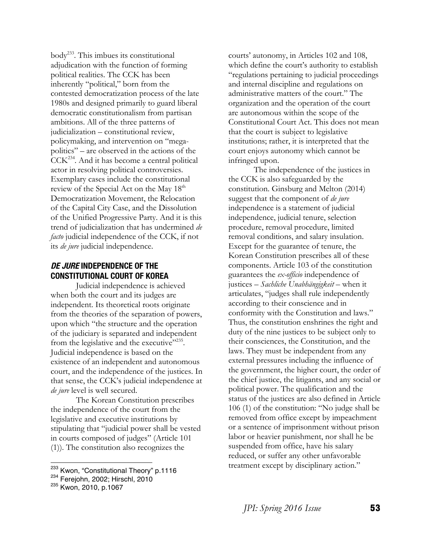body233. This imbues its constitutional adjudication with the function of forming political realities. The CCK has been inherently "political," born from the contested democratization process of the late 1980s and designed primarily to guard liberal democratic constitutionalism from partisan ambitions. All of the three patterns of judicialization – constitutional review, policymaking, and intervention on "megapolitics" – are observed in the actions of the  $\text{CCK}^{234}$ . And it has become a central political actor in resolving political controversies. Exemplary cases include the constitutional review of the Special Act on the May  $18<sup>th</sup>$ Democratization Movement, the Relocation of the Capital City Case, and the Dissolution of the Unified Progressive Party. And it is this trend of judicialization that has undermined *de facto* judicial independence of the CCK, if not its *de jure* judicial independence.

## **DE JURE INDEPENDENCE OF THE CONSTITUTIONAL COURT OF KOREA**

 Judicial independence is achieved when both the court and its judges are independent. Its theoretical roots originate from the theories of the separation of powers, upon which "the structure and the operation of the judiciary is separated and independent from the legislative and the executive $"2^{235}$ . Judicial independence is based on the existence of an independent and autonomous court, and the independence of the justices. In that sense, the CCK's judicial independence at *de jure* level is well secured.

 The Korean Constitution prescribes the independence of the court from the legislative and executive institutions by stipulating that "judicial power shall be vested in courts composed of judges" (Article 101 (1)). The constitution also recognizes the

courts' autonomy, in Articles 102 and 108, which define the court's authority to establish "regulations pertaining to judicial proceedings and internal discipline and regulations on administrative matters of the court." The organization and the operation of the court are autonomous within the scope of the Constitutional Court Act. This does not mean that the court is subject to legislative institutions; rather, it is interpreted that the court enjoys autonomy which cannot be infringed upon.

 The independence of the justices in the CCK is also safeguarded by the constitution. Ginsburg and Melton (2014) suggest that the component of *de jure* independence is a statement of judicial independence, judicial tenure, selection procedure, removal procedure, limited removal conditions, and salary insulation. Except for the guarantee of tenure, the Korean Constitution prescribes all of these components. Article 103 of the constitution guarantees the *ex-officio* independence of justices – *Sachliche Unabhängigkeit* – when it articulates, "judges shall rule independently according to their conscience and in conformity with the Constitution and laws." Thus, the constitution enshrines the right and duty of the nine justices to be subject only to their consciences, the Constitution, and the laws. They must be independent from any external pressures including the influence of the government, the higher court, the order of the chief justice, the litigants, and any social or political power. The qualification and the status of the justices are also defined in Article 106 (1) of the constitution: "No judge shall be removed from office except by impeachment or a sentence of imprisonment without prison labor or heavier punishment, nor shall he be suspended from office, have his salary reduced, or suffer any other unfavorable treatment except by disciplinary action."

 <sup>233</sup> Kwon, "Constitutional Theory" <sup>p</sup>*.*<sup>1116</sup>

<sup>234</sup> Ferejohn, 2002; Hirschl, 2010

<sup>235</sup> Kwon, 2010, p.1067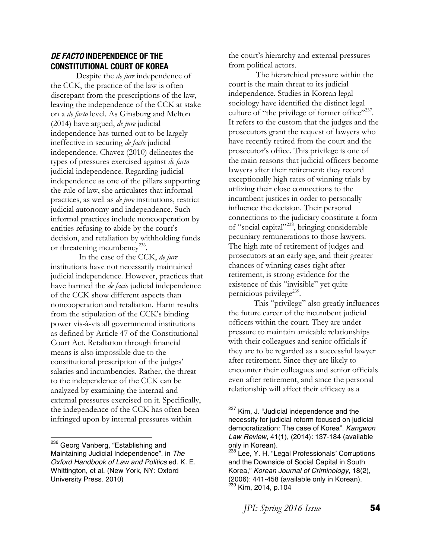#### **DE FACTO INDEPENDENCE OF THE CONSTITUTIONAL COURT OF KOREA**

 Despite the *de jure* independence of the CCK, the practice of the law is often discrepant from the prescriptions of the law, leaving the independence of the CCK at stake on a *de facto* level. As Ginsburg and Melton (2014) have argued, *de jure* judicial independence has turned out to be largely ineffective in securing *de facto* judicial independence. Chavez (2010) delineates the types of pressures exercised against *de facto* judicial independence. Regarding judicial independence as one of the pillars supporting the rule of law, she articulates that informal practices, as well as *de jure* institutions, restrict judicial autonomy and independence. Such informal practices include noncooperation by entities refusing to abide by the court's decision, and retaliation by withholding funds or threatening incumbency<sup>236</sup>.

In the case of the CCK, *de jure* institutions have not necessarily maintained judicial independence. However, practices that have harmed the *de facto* judicial independence of the CCK show different aspects than noncooperation and retaliation. Harm results from the stipulation of the CCK's binding power vis-à-vis all governmental institutions as defined by Article 47 of the Constitutional Court Act. Retaliation through financial means is also impossible due to the constitutional prescription of the judges' salaries and incumbencies. Rather, the threat to the independence of the CCK can be analyzed by examining the internal and external pressures exercised on it. Specifically, the independence of the CCK has often been infringed upon by internal pressures within

the court's hierarchy and external pressures from political actors.

 The hierarchical pressure within the court is the main threat to its judicial independence. Studies in Korean legal sociology have identified the distinct legal culture of "the privilege of former office"<sup>237</sup>. It refers to the custom that the judges and the prosecutors grant the request of lawyers who have recently retired from the court and the prosecutor's office. This privilege is one of the main reasons that judicial officers become lawyers after their retirement: they record exceptionally high rates of winning trials by utilizing their close connections to the incumbent justices in order to personally influence the decision. Their personal connections to the judiciary constitute a form of "social capital"238, bringing considerable pecuniary remunerations to those lawyers. The high rate of retirement of judges and prosecutors at an early age, and their greater chances of winning cases right after retirement, is strong evidence for the existence of this "invisible" yet quite pernicious privilege $239$ .

 This "privilege" also greatly influences the future career of the incumbent judicial officers within the court. They are under pressure to maintain amicable relationships with their colleagues and senior officials if they are to be regarded as a successful lawyer after retirement. Since they are likely to encounter their colleagues and senior officials even after retirement, and since the personal relationship will affect their efficacy as a

<sup>&</sup>lt;sup>236</sup> Georg Vanberg, "Establishing and Maintaining Judicial Independence". in *The Oxford Handbook of Law and Politics* ed. K. E. Whittington, et al. (New York, NY: Oxford University Press. 2010)

<sup>&</sup>lt;sup>237</sup> Kim, J. "Judicial independence and the necessity for judicial reform focused on judicial democratization: The case of Korea". *Kangwon Law Review*, 41(1), (2014): 137-184 (available only in Korean).

<sup>&</sup>lt;sup>238</sup> Lee, Y. H. "Legal Professionals' Corruptions and the Downside of Social Capital in South Korea," *Korean Journal of Criminology*, 18(2), (2006): 441-458 (available only in Korean). <sup>239</sup> Kim, 2014, p.104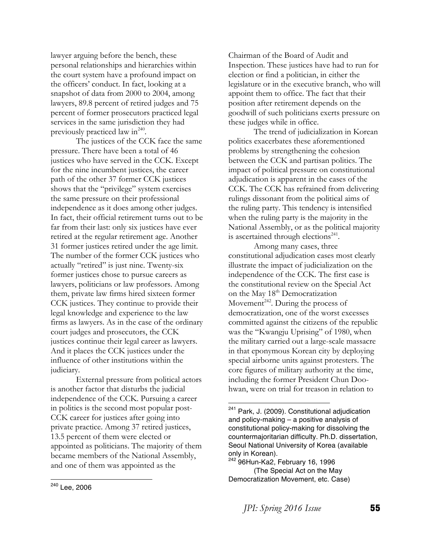lawyer arguing before the bench, these personal relationships and hierarchies within the court system have a profound impact on the officers' conduct. In fact, looking at a snapshot of data from 2000 to 2004, among lawyers, 89.8 percent of retired judges and 75 percent of former prosecutors practiced legal services in the same jurisdiction they had previously practiced law in<sup>240</sup>.

 The justices of the CCK face the same pressure. There have been a total of 46 justices who have served in the CCK. Except for the nine incumbent justices, the career path of the other 37 former CCK justices shows that the "privilege" system exercises the same pressure on their professional independence as it does among other judges. In fact, their official retirement turns out to be far from their last: only six justices have ever retired at the regular retirement age. Another 31 former justices retired under the age limit. The number of the former CCK justices who actually "retired" is just nine. Twenty-six former justices chose to pursue careers as lawyers, politicians or law professors. Among them, private law firms hired sixteen former CCK justices. They continue to provide their legal knowledge and experience to the law firms as lawyers. As in the case of the ordinary court judges and prosecutors, the CCK justices continue their legal career as lawyers. And it places the CCK justices under the influence of other institutions within the judiciary.

 External pressure from political actors is another factor that disturbs the judicial independence of the CCK. Pursuing a career in politics is the second most popular post-CCK career for justices after going into private practice. Among 37 retired justices, 13.5 percent of them were elected or appointed as politicians. The majority of them became members of the National Assembly, and one of them was appointed as the

Chairman of the Board of Audit and Inspection. These justices have had to run for election or find a politician, in either the legislature or in the executive branch, who will appoint them to office. The fact that their position after retirement depends on the goodwill of such politicians exerts pressure on these judges while in office.

 The trend of judicialization in Korean politics exacerbates these aforementioned problems by strengthening the cohesion between the CCK and partisan politics. The impact of political pressure on constitutional adjudication is apparent in the cases of the CCK. The CCK has refrained from delivering rulings dissonant from the political aims of the ruling party. This tendency is intensified when the ruling party is the majority in the National Assembly, or as the political majority is ascertained through elections $241$ .

 Among many cases, three constitutional adjudication cases most clearly illustrate the impact of judicialization on the independence of the CCK. The first case is the constitutional review on the Special Act on the May 18<sup>th</sup> Democratization Movement<sup>242</sup>. During the process of democratization, one of the worst excesses committed against the citizens of the republic was the "Kwangju Uprising" of 1980, when the military carried out a large-scale massacre in that eponymous Korean city by deploying special airborne units against protesters. The core figures of military authority at the time, including the former President Chun Doohwan, were on trial for treason in relation to

<sup>&</sup>lt;sup>241</sup> Park, J. (2009). Constitutional adjudication and policy-making – a positive analysis of constitutional policy-making for dissolving the countermajoritarian difficulty. Ph.D. dissertation, Seoul National University of Korea (available only in Korean).

 $242$  96Hun-Ka2, February 16, 1996 (The Special Act on the May Democratization Movement, etc. Case)

 <sup>240</sup> Lee, 2006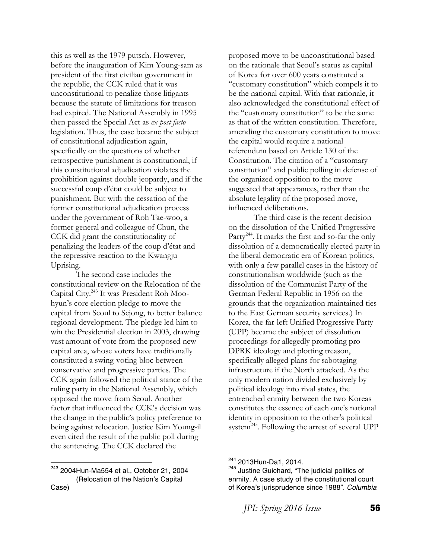this as well as the 1979 putsch. However, before the inauguration of Kim Young-sam as president of the first civilian government in the republic, the CCK ruled that it was unconstitutional to penalize those litigants because the statute of limitations for treason had expired. The National Assembly in 1995 then passed the Special Act as *ex post facto* legislation. Thus, the case became the subject of constitutional adjudication again, specifically on the questions of whether retrospective punishment is constitutional, if this constitutional adjudication violates the prohibition against double jeopardy, and if the successful coup d'état could be subject to punishment. But with the cessation of the former constitutional adjudication process under the government of Roh Tae-woo, a former general and colleague of Chun, the CCK did grant the constitutionality of penalizing the leaders of the coup d'état and the repressive reaction to the Kwangju Uprising.

 The second case includes the constitutional review on the Relocation of the Capital City.243 It was President Roh Moohyun's core election pledge to move the capital from Seoul to Sejong, to better balance regional development. The pledge led him to win the Presidential election in 2003, drawing vast amount of vote from the proposed new capital area, whose voters have traditionally constituted a swing-voting bloc between conservative and progressive parties. The CCK again followed the political stance of the ruling party in the National Assembly, which opposed the move from Seoul. Another factor that influenced the CCK's decision was the change in the public's policy preference to being against relocation. Justice Kim Young-il even cited the result of the public poll during the sentencing. The CCK declared the

proposed move to be unconstitutional based on the rationale that Seoul's status as capital of Korea for over 600 years constituted a "customary constitution" which compels it to be the national capital. With that rationale, it also acknowledged the constitutional effect of the "customary constitution" to be the same as that of the written constitution. Therefore, amending the customary constitution to move the capital would require a national referendum based on Article 130 of the Constitution. The citation of a "customary constitution" and public polling in defense of the organized opposition to the move suggested that appearances, rather than the absolute legality of the proposed move, influenced deliberations.

 The third case is the recent decision on the dissolution of the Unified Progressive Party<sup>244</sup>. It marks the first and so-far the only dissolution of a democratically elected party in the liberal democratic era of Korean politics, with only a few parallel cases in the history of constitutionalism worldwide (such as the dissolution of the Communist Party of the German Federal Republic in 1956 on the grounds that the organization maintained ties to the East German security services.) In Korea, the far-left Unified Progressive Party (UPP) became the subject of dissolution proceedings for allegedly promoting pro-DPRK ideology and plotting treason, specifically alleged plans for sabotaging infrastructure if the North attacked. As the only modern nation divided exclusively by political ideology into rival states, the entrenched enmity between the two Koreas constitutes the essence of each one's national identity in opposition to the other's political system<sup>245</sup>. Following the arrest of several UPP

 <sup>243</sup> 2004Hun-Ma554 et al., October 21, 2004 (Relocation of the Nation's Capital Case)

 $244$  2013Hun-Da1, 2014.<br> $245$  Justine Guichard, "The judicial politics of enmity. A case study of the constitutional court of Korea's jurisprudence since 1988"*. Columbia*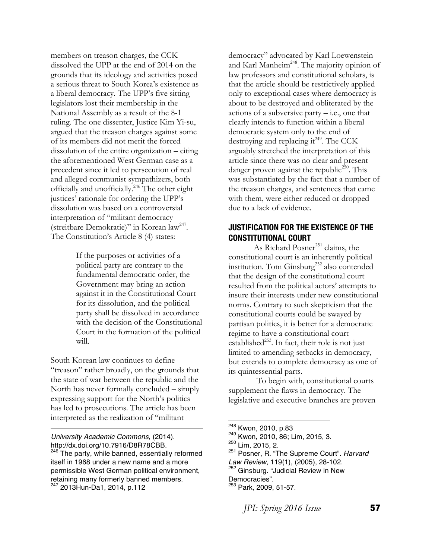members on treason charges, the CCK dissolved the UPP at the end of 2014 on the grounds that its ideology and activities posed a serious threat to South Korea's existence as a liberal democracy. The UPP's five sitting legislators lost their membership in the National Assembly as a result of the 8-1 ruling. The one dissenter, Justice Kim Yi-su, argued that the treason charges against some of its members did not merit the forced dissolution of the entire organization – citing the aforementioned West German case as a precedent since it led to persecution of real and alleged communist sympathizers, both officially and unofficially.246 The other eight justices' rationale for ordering the UPP's dissolution was based on a controversial interpretation of "militant democracy (streitbare Demokratie)" in Korean law<sup>247</sup>. The Constitution's Article 8 (4) states:

> If the purposes or activities of a political party are contrary to the fundamental democratic order, the Government may bring an action against it in the Constitutional Court for its dissolution, and the political party shall be dissolved in accordance with the decision of the Constitutional Court in the formation of the political will.

South Korean law continues to define "treason" rather broadly, on the grounds that the state of war between the republic and the North has never formally concluded – simply expressing support for the North's politics has led to prosecutions. The article has been interpreted as the realization of "militant

<u> 1989 - Johann Barn, mars eta bainar eta bainar eta baina eta baina eta baina eta baina eta baina eta baina e</u>

*University Academic Commons*, (2014). http://dx.doi.org/10.7916/D8R78CBB.

<sup>246</sup> The party, while banned, essentially reformed itself in 1968 under a new name and a more permissible West German political environment, retaining many formerly banned members. <sup>247</sup> 2013Hun-Da1, 2014, p.112

democracy" advocated by Karl Loewenstein and Karl Manheim<sup>248</sup>. The majority opinion of law professors and constitutional scholars, is that the article should be restrictively applied only to exceptional cases where democracy is about to be destroyed and obliterated by the actions of a subversive party  $-i.e.,$  one that clearly intends to function within a liberal democratic system only to the end of destroying and replacing it<sup>249</sup>. The CCK arguably stretched the interpretation of this article since there was no clear and present danger proven against the republic<sup>250</sup>. This was substantiated by the fact that a number of the treason charges, and sentences that came with them, were either reduced or dropped due to a lack of evidence.

#### **JUSTIFICATION FOR THE EXISTENCE OF THE CONSTITUTIONAL COURT**

As Richard Posner<sup>251</sup> claims, the constitutional court is an inherently political institution. Tom Ginsburg<sup>252</sup> also contended that the design of the constitutional court resulted from the political actors' attempts to insure their interests under new constitutional norms. Contrary to such skepticism that the constitutional courts could be swayed by partisan politics, it is better for a democratic regime to have a constitutional court established<sup>253</sup>. In fact, their role is not just limited to amending setbacks in democracy, but extends to complete democracy as one of its quintessential parts.

To begin with, constitutional courts supplement the flaws in democracy. The legislative and executive branches are proven

 

249 Kwon, 2010, 86; Lim, 2015, 3.<br><sup>250</sup> Lim, 2015, 2.<br><sup>251</sup> Posner, R. "The Supreme Court". *Harvard* 

<sup>252</sup> Ginsburg. "Judicial Review in New Democracies".

<sup>253</sup> Park, 2009, 51-57.

*JPI: Spring 2016 Issue* **57** 

<sup>&</sup>lt;sup>248</sup> Kwon, 2010, p.83

*Law Review,* 119(1), (2005), 28-102.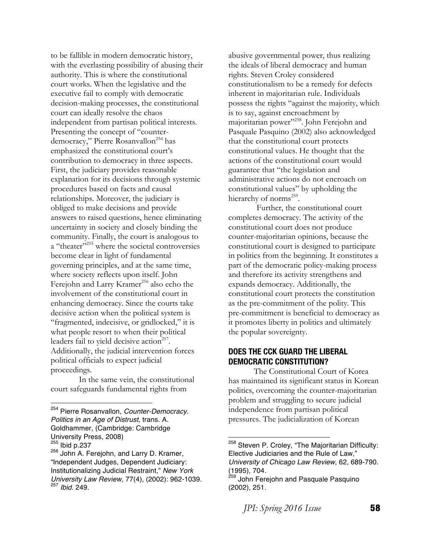to be fallible in modern democratic history, with the everlasting possibility of abusing their authority. This is where the constitutional court works. When the legislative and the executive fail to comply with democratic decision-making processes, the constitutional court can ideally resolve the chaos independent from partisan political interests. Presenting the concept of "counterdemocracy," Pierre Rosanvallon<sup>254</sup> has emphasized the constitutional court's contribution to democracy in three aspects. First, the judiciary provides reasonable explanation for its decisions through systemic procedures based on facts and causal relationships. Moreover, the judiciary is obliged to make decisions and provide answers to raised questions, hence eliminating uncertainty in society and closely binding the community. Finally, the court is analogous to a "theater"<sup>255</sup> where the societal controversies become clear in light of fundamental governing principles, and at the same time, where society reflects upon itself. John Ferejohn and Larry Kramer<sup>256</sup> also echo the involvement of the constitutional court in enhancing democracy. Since the courts take decisive action when the political system is "fragmented, indecisive, or gridlocked," it is what people resort to when their political leaders fail to yield decisive action<sup>257</sup>. Additionally, the judicial intervention forces political officials to expect judicial proceedings.

In the same vein, the constitutional court safeguards fundamental rights from

<sup>254</sup> Pierre Rosanvallon, *Counter-Democracy. Politics in an Age of Distrust*, trans. A. Goldhammer, (Cambridge: Cambridge University Press, 2008)

 

abusive governmental power, thus realizing the ideals of liberal democracy and human rights. Steven Croley considered constitutionalism to be a remedy for defects inherent in majoritarian rule. Individuals possess the rights "against the majority, which is to say, against encroachment by majoritarian power"<sup>258</sup>. John Ferejohn and Pasquale Pasquino (2002) also acknowledged that the constitutional court protects constitutional values. He thought that the actions of the constitutional court would guarantee that "the legislation and administrative actions do not encroach on constitutional values" by upholding the hierarchy of norms<sup>259</sup>.

Further, the constitutional court completes democracy. The activity of the constitutional court does not produce counter-majoritarian opinions, because the constitutional court is designed to participate in politics from the beginning. It constitutes a part of the democratic policy-making process and therefore its activity strengthens and expands democracy. Additionally, the constitutional court protects the constitution as the pre-commitment of the polity. This pre-commitment is beneficial to democracy as it promotes liberty in politics and ultimately the popular sovereignty.

#### **DOES THE CCK GUARD THE LIBERAL DEMOCRATIC CONSTITUTION?**

 The Constitutional Court of Korea has maintained its significant status in Korean politics, overcoming the counter-majoritarian problem and struggling to secure judicial independence from partisan political pressures. The judicialization of Korean

<sup>&</sup>lt;sup>255</sup> Ibid p.237

<sup>256</sup> John A. Ferejohn, and Larry D. Kramer, "Independent Judges, Dependent Judiciary: Institutionalizing Judicial Restraint," *New York University Law Review,* 77(4), (2002): 962-1039. <sup>257</sup> *Ibid*. 249.

<sup>&</sup>lt;sup>258</sup> Steven P. Croley, "The Majoritarian Difficulty: Elective Judiciaries and the Rule of Law," *University of Chicago Law Review*, 62, 689-790. (1995), 704.<br><sup>259</sup> John Ferejohn and Pasquale Pasquino

<sup>(2002), 251.</sup>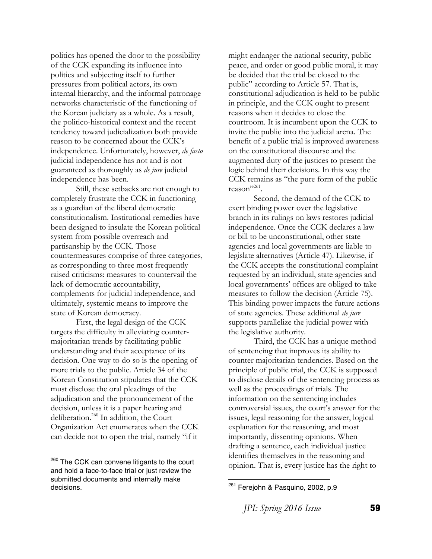politics has opened the door to the possibility of the CCK expanding its influence into politics and subjecting itself to further pressures from political actors, its own internal hierarchy, and the informal patronage networks characteristic of the functioning of the Korean judiciary as a whole. As a result, the politico-historical context and the recent tendency toward judicialization both provide reason to be concerned about the CCK's independence. Unfortunately, however, *de facto* judicial independence has not and is not guaranteed as thoroughly as *de jure* judicial independence has been.

 Still, these setbacks are not enough to completely frustrate the CCK in functioning as a guardian of the liberal democratic constitutionalism. Institutional remedies have been designed to insulate the Korean political system from possible overreach and partisanship by the CCK. Those countermeasures comprise of three categories, as corresponding to three most frequently raised criticisms: measures to countervail the lack of democratic accountability, complements for judicial independence, and ultimately, systemic means to improve the state of Korean democracy.

 First, the legal design of the CCK targets the difficulty in alleviating countermajoritarian trends by facilitating public understanding and their acceptance of its decision. One way to do so is the opening of more trials to the public. Article 34 of the Korean Constitution stipulates that the CCK must disclose the oral pleadings of the adjudication and the pronouncement of the decision, unless it is a paper hearing and deliberation.<sup>260</sup> In addition, the Court Organization Act enumerates when the CCK can decide not to open the trial, namely "if it

might endanger the national security, public peace, and order or good public moral, it may be decided that the trial be closed to the public" according to Article 57. That is, constitutional adjudication is held to be public in principle, and the CCK ought to present reasons when it decides to close the courtroom. It is incumbent upon the CCK to invite the public into the judicial arena. The benefit of a public trial is improved awareness on the constitutional discourse and the augmented duty of the justices to present the logic behind their decisions. In this way the CCK remains as "the pure form of the public reason"<sup>261</sup>.

 Second, the demand of the CCK to exert binding power over the legislative branch in its rulings on laws restores judicial independence. Once the CCK declares a law or bill to be unconstitutional, other state agencies and local governments are liable to legislate alternatives (Article 47). Likewise, if the CCK accepts the constitutional complaint requested by an individual, state agencies and local governments' offices are obliged to take measures to follow the decision (Article 75). This binding power impacts the future actions of state agencies. These additional *de jure* supports parallelize the judicial power with the legislative authority.

 Third, the CCK has a unique method of sentencing that improves its ability to counter majoritarian tendencies. Based on the principle of public trial, the CCK is supposed to disclose details of the sentencing process as well as the proceedings of trials. The information on the sentencing includes controversial issues, the court's answer for the issues, legal reasoning for the answer, logical explanation for the reasoning, and most importantly, dissenting opinions. When drafting a sentence, each individual justice identifies themselves in the reasoning and opinion. That is, every justice has the right to

<sup>&</sup>lt;sup>260</sup> The CCK can convene litigants to the court and hold a face-to-face trial or just review the submitted documents and internally make decisions.

Ferejohn & Pasquino, 2002, p.9